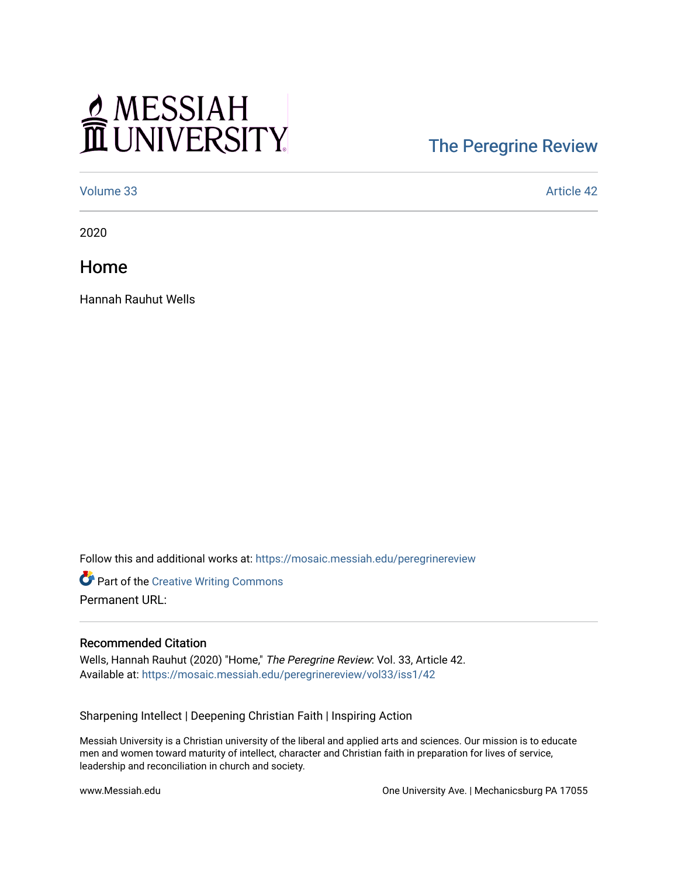## MESSIAH

## [The Peregrine Review](https://mosaic.messiah.edu/peregrinereview)

[Volume 33](https://mosaic.messiah.edu/peregrinereview/vol33) Article 42

2020

Home

Hannah Rauhut Wells

Follow this and additional works at: [https://mosaic.messiah.edu/peregrinereview](https://mosaic.messiah.edu/peregrinereview?utm_source=mosaic.messiah.edu%2Fperegrinereview%2Fvol33%2Fiss1%2F42&utm_medium=PDF&utm_campaign=PDFCoverPages) 

Part of the [Creative Writing Commons](http://network.bepress.com/hgg/discipline/574?utm_source=mosaic.messiah.edu%2Fperegrinereview%2Fvol33%2Fiss1%2F42&utm_medium=PDF&utm_campaign=PDFCoverPages)  Permanent URL:

## Recommended Citation

Wells, Hannah Rauhut (2020) "Home," The Peregrine Review: Vol. 33, Article 42. Available at: [https://mosaic.messiah.edu/peregrinereview/vol33/iss1/42](https://mosaic.messiah.edu/peregrinereview/vol33/iss1/42?utm_source=mosaic.messiah.edu%2Fperegrinereview%2Fvol33%2Fiss1%2F42&utm_medium=PDF&utm_campaign=PDFCoverPages)

Sharpening Intellect | Deepening Christian Faith | Inspiring Action

Messiah University is a Christian university of the liberal and applied arts and sciences. Our mission is to educate men and women toward maturity of intellect, character and Christian faith in preparation for lives of service, leadership and reconciliation in church and society.

www.Messiah.edu **One University Ave. | Mechanicsburg PA 17055**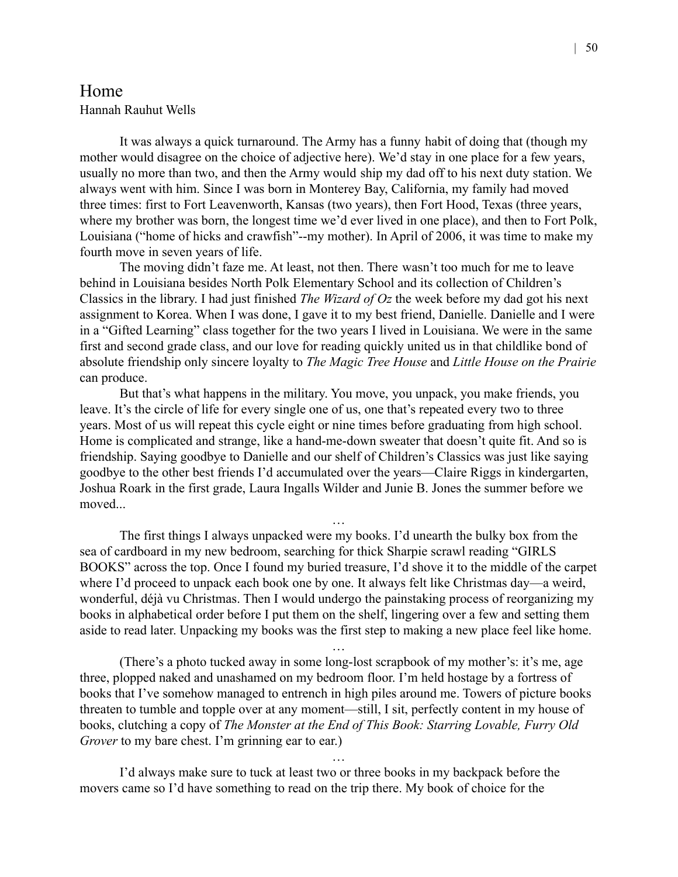## Home

Hannah Rauhut Wells

It was always a quick turnaround. The Army has a funny habit of doing that (though my mother would disagree on the choice of adjective here). We'd stay in one place for a few years, usually no more than two, and then the Army would ship my dad off to his next duty station. We always went with him. Since I was born in Monterey Bay, California, my family had moved three times: first to Fort Leavenworth, Kansas (two years), then Fort Hood, Texas (three years, where my brother was born, the longest time we'd ever lived in one place), and then to Fort Polk, Louisiana ("home of hicks and crawfish"--my mother). In April of 2006, it was time to make my fourth move in seven years of life.

The moving didn't faze me. At least, not then. There wasn't too much for me to leave behind in Louisiana besides North Polk Elementary School and its collection of Children's Classics in the library. I had just finished *The Wizard of Oz* the week before my dad got his next assignment to Korea. When I was done, I gave it to my best friend, Danielle. Danielle and I were in a "Gifted Learning" class together for the two years I lived in Louisiana. We were in the same first and second grade class, and our love for reading quickly united us in that childlike bond of absolute friendship only sincere loyalty to *The Magic Tree House* and *Little House on the Prairie* can produce.

But that's what happens in the military. You move, you unpack, you make friends, you leave. It's the circle of life for every single one of us, one that's repeated every two to three years. Most of us will repeat this cycle eight or nine times before graduating from high school. Home is complicated and strange, like a hand-me-down sweater that doesn't quite fit. And so is friendship. Saying goodbye to Danielle and our shelf of Children's Classics was just like saying goodbye to the other best friends I'd accumulated over the years—Claire Riggs in kindergarten, Joshua Roark in the first grade, Laura Ingalls Wilder and Junie B. Jones the summer before we moved...

The first things I always unpacked were my books. I'd unearth the bulky box from the sea of cardboard in my new bedroom, searching for thick Sharpie scrawl reading "GIRLS BOOKS" across the top. Once I found my buried treasure, I'd shove it to the middle of the carpet where I'd proceed to unpack each book one by one. It always felt like Christmas day—a weird, wonderful, déjà vu Christmas. Then I would undergo the painstaking process of reorganizing my books in alphabetical order before I put them on the shelf, lingering over a few and setting them aside to read later. Unpacking my books was the first step to making a new place feel like home.

…

…

(There's a photo tucked away in some long-lost scrapbook of my mother's: it's me, age three, plopped naked and unashamed on my bedroom floor. I'm held hostage by a fortress of books that I've somehow managed to entrench in high piles around me. Towers of picture books threaten to tumble and topple over at any moment—still, I sit, perfectly content in my house of books, clutching a copy of *The Monster at the End of This Book: Starring Lovable, Furry Old Grover* to my bare chest. I'm grinning ear to ear.)

…

I'd always make sure to tuck at least two or three books in my backpack before the movers came so I'd have something to read on the trip there. My book of choice for the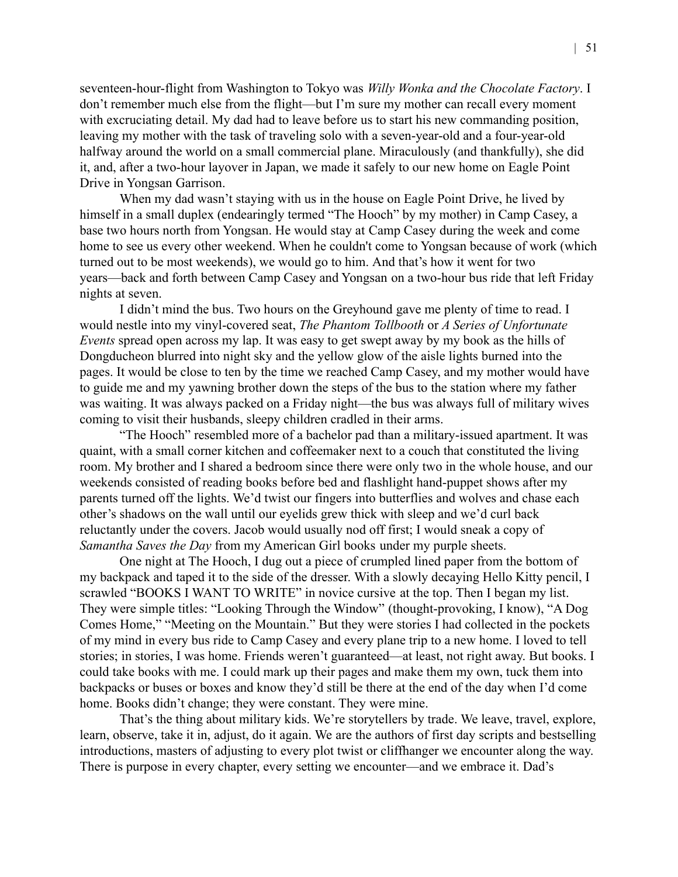seventeen-hour-flight from Washington to Tokyo was *Willy Wonka and the Chocolate Factory*. I don't remember much else from the flight—but I'm sure my mother can recall every moment with excruciating detail. My dad had to leave before us to start his new commanding position, leaving my mother with the task of traveling solo with a seven-year-old and a four-year-old halfway around the world on a small commercial plane. Miraculously (and thankfully), she did it, and, after a two-hour layover in Japan, we made it safely to our new home on Eagle Point Drive in Yongsan Garrison.

When my dad wasn't staying with us in the house on Eagle Point Drive, he lived by himself in a small duplex (endearingly termed "The Hooch" by my mother) in Camp Casey, a base two hours north from Yongsan. He would stay at Camp Casey during the week and come home to see us every other weekend. When he couldn't come to Yongsan because of work (which turned out to be most weekends), we would go to him. And that's how it went for two years—back and forth between Camp Casey and Yongsan on a two-hour bus ride that left Friday nights at seven.

I didn't mind the bus. Two hours on the Greyhound gave me plenty of time to read. I would nestle into my vinyl-covered seat, *The Phantom Tollbooth* or *A Series of Unfortunate Events* spread open across my lap. It was easy to get swept away by my book as the hills of Dongducheon blurred into night sky and the yellow glow of the aisle lights burned into the pages. It would be close to ten by the time we reached Camp Casey, and my mother would have to guide me and my yawning brother down the steps of the bus to the station where my father was waiting. It was always packed on a Friday night—the bus was always full of military wives coming to visit their husbands, sleepy children cradled in their arms.

"The Hooch" resembled more of a bachelor pad than a military-issued apartment. It was quaint, with a small corner kitchen and coffeemaker next to a couch that constituted the living room. My brother and I shared a bedroom since there were only two in the whole house, and our weekends consisted of reading books before bed and flashlight hand-puppet shows after my parents turned off the lights. We'd twist our fingers into butterflies and wolves and chase each other's shadows on the wall until our eyelids grew thick with sleep and we'd curl back reluctantly under the covers. Jacob would usually nod off first; I would sneak a copy of *Samantha Saves the Day* from my American Girl books under my purple sheets.

One night at The Hooch, I dug out a piece of crumpled lined paper from the bottom of my backpack and taped it to the side of the dresser. With a slowly decaying Hello Kitty pencil, I scrawled "BOOKS I WANT TO WRITE" in novice cursive at the top. Then I began my list. They were simple titles: "Looking Through the Window" (thought-provoking, I know), "A Dog Comes Home," "Meeting on the Mountain." But they were stories I had collected in the pockets of my mind in every bus ride to Camp Casey and every plane trip to a new home. I loved to tell stories; in stories, I was home. Friends weren't guaranteed—at least, not right away. But books. I could take books with me. I could mark up their pages and make them my own, tuck them into backpacks or buses or boxes and know they'd still be there at the end of the day when I'd come home. Books didn't change; they were constant. They were mine.

That's the thing about military kids. We're storytellers by trade. We leave, travel, explore, learn, observe, take it in, adjust, do it again. We are the authors of first day scripts and bestselling introductions, masters of adjusting to every plot twist or cliffhanger we encounter along the way. There is purpose in every chapter, every setting we encounter—and we embrace it. Dad's